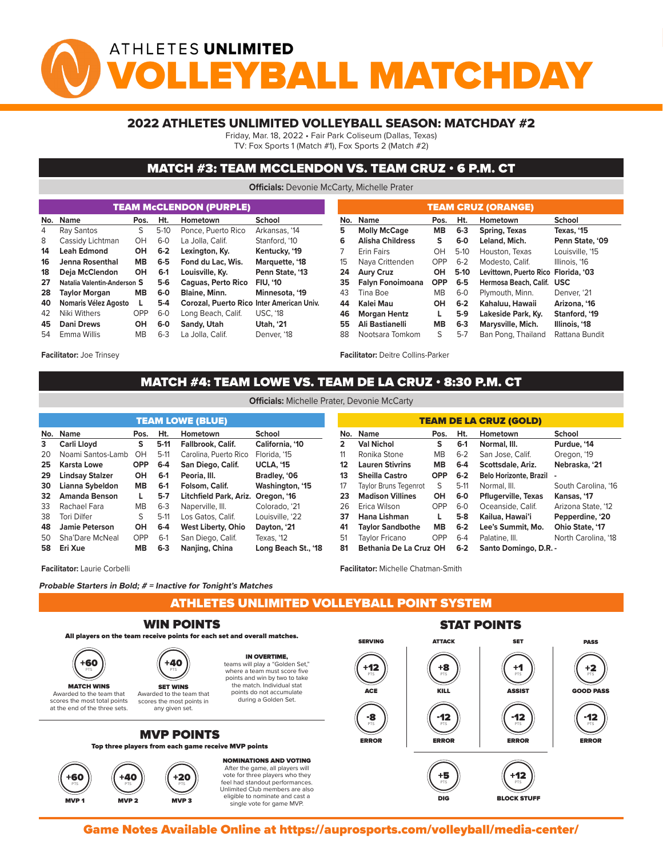# ATHLETES UNLIMITED *Y***BALL MATCHDA**

#### 2022 ATHLETES UNLIMITED VOLLEYBALL SEASON: MATCHDAY #2

Friday, Mar. 18, 2022 • Fair Park Coliseum (Dallas, Texas)

TV: Fox Sports 1 (Match #1), Fox Sports 2 (Match #2)

#### MATCH #3: TEAM MCCLENDON VS. TEAM CRUZ • 6 P.M. CT

**Officials:** Devonie McCarty, Michelle Prater

|    | No. Name<br>Pos.                     |                              |         | <b>School</b><br>Ht.<br>Hometown          |                  |    |                   |  |
|----|--------------------------------------|------------------------------|---------|-------------------------------------------|------------------|----|-------------------|--|
| 4  | Ray Santos                           | S                            | $5-10$  | Ponce, Puerto Rico                        | Arkansas, '14    | 5  | <b>Molly Mc</b>   |  |
| 8  | Cassidy Lichtman                     | $6 - 0$<br>OH<br>OH<br>$6-2$ |         | La Jolla, Calif.                          | Stanford, '10    | 6  | Alisha Cl         |  |
| 14 | <b>Leah Edmond</b>                   |                              |         | Lexington, Ky.                            | Kentucky, '19    |    | <b>Erin Fairs</b> |  |
| 16 | Jenna Rosenthal                      | <b>MB</b>                    | $6-5$   | Fond du Lac. Wis.                         | Marquette, '18   | 15 | Naya Crit         |  |
| 18 | Deja McClendon                       | <b>OH</b>                    | $6-1$   | Louisville, Kv.                           | Penn State, '13  | 24 | <b>Aury Cru</b>   |  |
| 27 | $5-6$<br>Natalia Valentin-Anderson S |                              |         | Caguas, Perto Rico                        | <b>FIU. '10</b>  | 35 | <b>Falvn Fo</b>   |  |
| 28 | <b>Taylor Morgan</b><br><b>MB</b>    |                              | $6-0$   | <b>Blaine, Minn.</b>                      | Minnesota, '19   | 43 | Tina Boe          |  |
| 40 | Nomaris Vélez Agosto                 | $5-4$                        |         | Corozal, Puerto Rico Inter American Univ. |                  | 44 | Kalei Ma          |  |
| 42 | Niki Withers                         | OPP                          | $6 - 0$ | Long Beach, Calif.                        | <b>USC, '18</b>  | 46 | Morgan I          |  |
| 45 | <b>Dani Drews</b>                    | OH                           | $6-0$   | Sandy, Utah                               | <b>Utah, '21</b> | 55 | Ali Bastia        |  |
| 54 | Emma Willis                          | <b>MB</b>                    | $6-3$   | La Jolla, Calif.                          | Denver, '18      | 88 | Nootsara          |  |
|    |                                      |                              |         |                                           |                  |    |                   |  |

**Facilitator:** Joe Trinsey

| <b>TEAM CRUZ (ORANGE)</b> |                         |            |         |                                     |                 |  |  |  |  |  |  |  |
|---------------------------|-------------------------|------------|---------|-------------------------------------|-----------------|--|--|--|--|--|--|--|
| No.                       | <b>Name</b>             | Pos.       | Ht.     | Hometown                            | <b>School</b>   |  |  |  |  |  |  |  |
| 5                         | <b>Molly McCage</b>     | <b>MB</b>  | $6 - 3$ | Spring, Texas                       | Texas, '15      |  |  |  |  |  |  |  |
| 6                         | <b>Alisha Childress</b> | $6-0$<br>s |         | Leland, Mich.                       | Penn State, '09 |  |  |  |  |  |  |  |
| 7                         | <b>Erin Fairs</b>       | OН         | $5-10$  | Houston, Texas                      | Louisville, '15 |  |  |  |  |  |  |  |
| 15                        | Nava Crittenden         | OPP        | $6-2$   | Modesto, Calif.                     | Illinois. '16   |  |  |  |  |  |  |  |
| 24                        | <b>Aury Cruz</b>        | OН         | $5-10$  | Levittown, Puerto Rico Florida, '03 |                 |  |  |  |  |  |  |  |
| 35                        | Falyn Fonoimoana        | <b>OPP</b> | $6-5$   | Hermosa Beach, Calif.               | <b>USC</b>      |  |  |  |  |  |  |  |
| 43                        | Tina Boe                | <b>MB</b>  | $6-0$   | Plymouth, Minn.                     | Denver, '21     |  |  |  |  |  |  |  |
| 44                        | Kalei Mau               | OН         | $6-2$   | Kahaluu, Hawaii                     | Arizona, '16    |  |  |  |  |  |  |  |
| 46                        | <b>Morgan Hentz</b>     | L          | $5-9$   | Lakeside Park, Ky.                  | Stanford, '19   |  |  |  |  |  |  |  |
| 55                        | Ali Bastianelli         | <b>MB</b>  | $6 - 3$ | Marysville, Mich.                   | Illinois, '18   |  |  |  |  |  |  |  |
| 88                        | Nootsara Tomkom         | S          | $5 - 7$ | Ban Pong, Thailand                  | Rattana Bundit  |  |  |  |  |  |  |  |

**Facilitator:** Deitre Collins-Parker

**Facilitator:** Michelle Chatman-Smith

## MATCH #4: TEAM LOWE VS. TEAM DE LA CRUZ • 8:30 P.M. CT

| <b>TEAM LOWE (BLUE)</b> |                        |            |         |                           |                     |  |  |  |  |  |  |  |
|-------------------------|------------------------|------------|---------|---------------------------|---------------------|--|--|--|--|--|--|--|
| No.                     | Name                   | Pos.       | Ht.     | Hometown                  | School              |  |  |  |  |  |  |  |
| 3                       | Carli Lloyd            | s          | $5-11$  | <b>Fallbrook, Calif.</b>  | California, '10     |  |  |  |  |  |  |  |
| 20                      | Noami Santos-Lamb      | OH         | $5-11$  | Carolina, Puerto Rico     | Florida, '15        |  |  |  |  |  |  |  |
| 25                      | <b>Karsta Lowe</b>     | <b>OPP</b> | $6 - 4$ | San Diego, Calif.         | <b>UCLA, '15</b>    |  |  |  |  |  |  |  |
| 29                      | <b>Lindsay Stalzer</b> | <b>OH</b>  | $6-1$   | Peoria, III.              | Bradley, '06        |  |  |  |  |  |  |  |
| 30                      | Lianna Sybeldon        | <b>MB</b>  | $6-1$   | Folsom, Calif.            | Washington, '15     |  |  |  |  |  |  |  |
| 32                      | <b>Amanda Benson</b>   | L          | $5-7$   | Litchfield Park, Ariz.    | Oregon, '16         |  |  |  |  |  |  |  |
| 33                      | Rachael Fara           | <b>MB</b>  | $6-3$   | Naperville, III.          | Colorado, '21       |  |  |  |  |  |  |  |
| 38                      | Tori Dilfer            | S          | $5-11$  | Los Gatos, Calif.         | Louisville, '22     |  |  |  |  |  |  |  |
| 48                      | <b>Jamie Peterson</b>  | OH         | $6-4$   | <b>West Liberty, Ohio</b> | Dayton, '21         |  |  |  |  |  |  |  |
| 50                      | Sha'Dare McNeal        | OPP        | $6-1$   | San Diego, Calif.         | Texas, '12          |  |  |  |  |  |  |  |
| 58                      | Eri Xue                | <b>MB</b>  | $6 - 3$ | Nanjing, China            | Long Beach St., '18 |  |  |  |  |  |  |  |

| <b>TEAM DE LA CRUZ (GOLD)</b> |                              |            |         |                               |                        |  |  |  |  |  |  |  |
|-------------------------------|------------------------------|------------|---------|-------------------------------|------------------------|--|--|--|--|--|--|--|
| No.                           | Name                         | Pos.       | Ht.     | Hometown                      | School                 |  |  |  |  |  |  |  |
| $\overline{2}$                | <b>Val Nichol</b>            | S          | $6-1$   | Normal, III.                  | Purdue, '14            |  |  |  |  |  |  |  |
| 11                            | Ronika Stone                 | <b>MB</b>  | $6 - 2$ | San Jose, Calif.              | Oregon, '19            |  |  |  |  |  |  |  |
| 12                            | <b>Lauren Stivrins</b>       | <b>MB</b>  | $6 - 4$ | Scottsdale, Ariz.             | Nebraska. '21          |  |  |  |  |  |  |  |
| 13                            | <b>Sheilla Castro</b>        | <b>OPP</b> | $6-2$   | <b>Belo Horizonte, Brazil</b> |                        |  |  |  |  |  |  |  |
| 17                            | <b>Taylor Bruns Tegenrot</b> | S          | $5-11$  | Normal, III.                  | South Carolina, '16    |  |  |  |  |  |  |  |
| 23                            | <b>Madison Villines</b>      | OН         | 6-0     | <b>Pflugerville, Texas</b>    | Kansas, '17            |  |  |  |  |  |  |  |
| 26                            | Erica Wilson                 | OPP        | $6 - 0$ | Oceanside, Calif.             | Arizona State, '12     |  |  |  |  |  |  |  |
| 37                            | Hana Lishman                 | L          | $5-8$   | Kailua, Hawai'i               | Pepperdine, '20        |  |  |  |  |  |  |  |
| 41                            | <b>Taylor Sandbothe</b>      | <b>MB</b>  | $6 - 2$ | Lee's Summit. Mo.             | <b>Ohio State, '17</b> |  |  |  |  |  |  |  |
| 51                            | <b>Taylor Fricano</b>        | OPP        | $6 - 4$ | Palatine, III.                | North Carolina, '18    |  |  |  |  |  |  |  |
| 81                            | Bethania De La Cruz OH       |            | $6 - 2$ | Santo Domingo, D.R. -         |                        |  |  |  |  |  |  |  |

single vote for game MVP.

**Facilitator:** Laurie Corbelli

**Probable Starters in Bold; # = Inactive for Tonight's Matches**

ATHLETES UNLIMITED VOLLEYBALL POINT SYSTEM MVP 2 MVP 2 MVP 3 MVP 3 MVP 3 MVP 3 MVP 3 MVP 3 MVP 3 MVP 3 MVP 3 MVP 3 MVP 3 MVP 3 MVP 3 MVP 3 MVP 3 MVP 3 MV



Game Notes Available Online at https://auprosports.com/volleyball/media-center/<br>.

**Officials:** Michelle Prater, Devonie McCarty